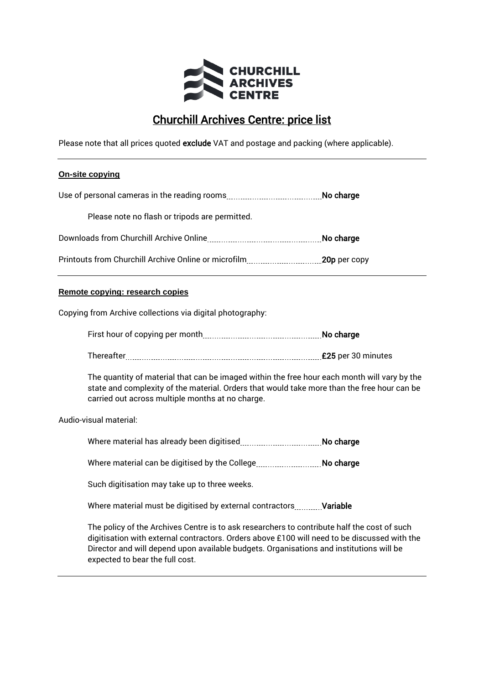

# Churchill Archives Centre: price list

Please note that all prices quoted exclude VAT and postage and packing (where applicable).

## **On-site copying**

|                                                | No charge |
|------------------------------------------------|-----------|
| Please note no flash or tripods are permitted. |           |
|                                                | No charge |
|                                                |           |

# **Remote copying: research copies**

Copying from Archive collections via digital photography:

First hour of copying per month No charge

Thereafter £25 per 30 minutes

The quantity of material that can be imaged within the free hour each month will vary by the state and complexity of the material. Orders that would take more than the free hour can be carried out across multiple months at no charge.

Audio-visual material:

Where material has already been digitised No charge

Where material can be digitised by the College............................. No charge

Such digitisation may take up to three weeks.

Where material must be digitised by external contractors **Variable** 

The policy of the Archives Centre is to ask researchers to contribute half the cost of such digitisation with external contractors. Orders above £100 will need to be discussed with the Director and will depend upon available budgets. Organisations and institutions will be expected to bear the full cost.